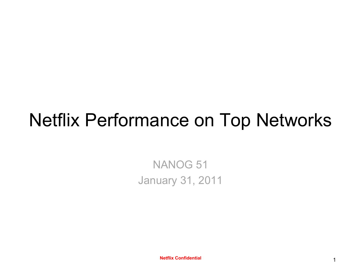## Netflix Performance on Top Networks

NANOG 51 January 31, 2011

**Netflix Confidential 2008 12:00 12:00 12:00 12:00 12:00 12:00 12:00 12:00 12:00 12:00 12:00 12:00 12:00 12:00 12:00 12:00 12:00 12:00 12:00 12:00 12:00 12:00 12:00 12:00 12:00 12:00 12:00 12:00 12:00 12:00 12:00 12:00 12:**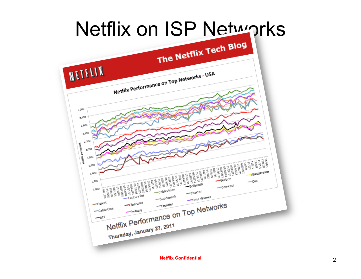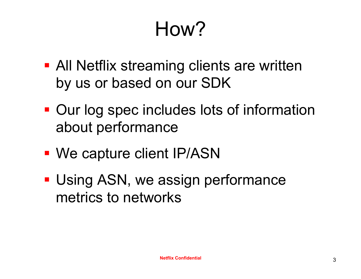# How?

- **All Netflix streaming clients are written** by us or based on our SDK
- Our log spec includes lots of information about performance
- We capture client IP/ASN
- **Using ASN, we assign performance** metrics to networks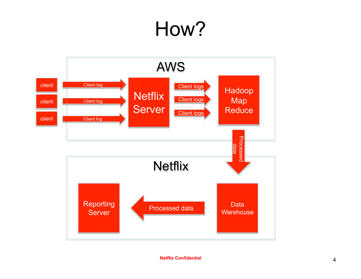# How?



**Netflix Confidential** ! 4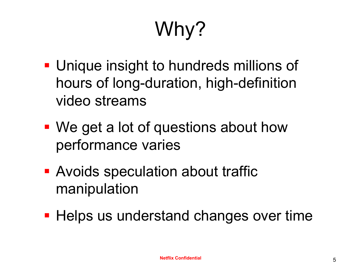# Why?

- **Unique insight to hundreds millions of** hours of long-duration, high-definition video streams
- We get a lot of questions about how performance varies
- **Avoids speculation about traffic** manipulation
- **Helps us understand changes over time**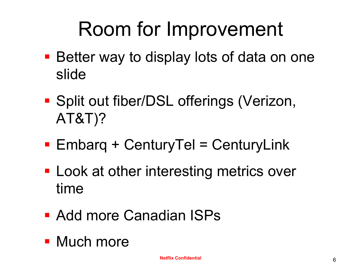# Room for Improvement

- **Better way to display lots of data on one** slide
- **Split out fiber/DSL offerings (Verizon,** AT&T)?
- $\blacksquare$  Embarg + CenturyTel = CenturyLink
- **Look at other interesting metrics over** time
- Add more Canadian ISPs
- Much more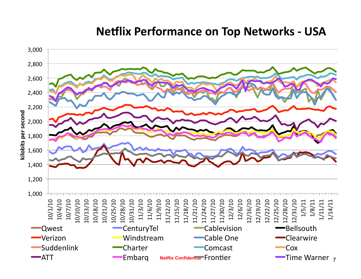### **Netflix Performance on Top Networks - USA**

![](_page_6_Figure_1.jpeg)